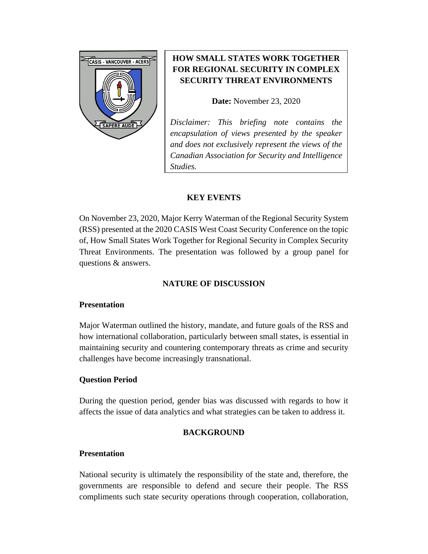

# **HOW SMALL STATES WORK TOGETHER FOR REGIONAL SECURITY IN COMPLEX SECURITY THREAT ENVIRONMENTS**

**Date:** November 23, 2020

*Disclaimer: This briefing note contains the encapsulation of views presented by the speaker and does not exclusively represent the views of the Canadian Association for Security and Intelligence Studies.* 

### **KEY EVENTS**

On November 23, 2020, Major Kerry Waterman of the Regional Security System (RSS) presented at the 2020 CASIS West Coast Security Conference on the topic of, How Small States Work Together for Regional Security in Complex Security Threat Environments. The presentation was followed by a group panel for questions & answers.

## **NATURE OF DISCUSSION**

#### **Presentation**

Major Waterman outlined the history, mandate, and future goals of the RSS and how international collaboration, particularly between small states, is essential in maintaining security and countering contemporary threats as crime and security challenges have become increasingly transnational.

## **Question Period**

During the question period, gender bias was discussed with regards to how it affects the issue of data analytics and what strategies can be taken to address it.

## **BACKGROUND**

#### **Presentation**

National security is ultimately the responsibility of the state and, therefore, the governments are responsible to defend and secure their people. The RSS compliments such state security operations through cooperation, collaboration,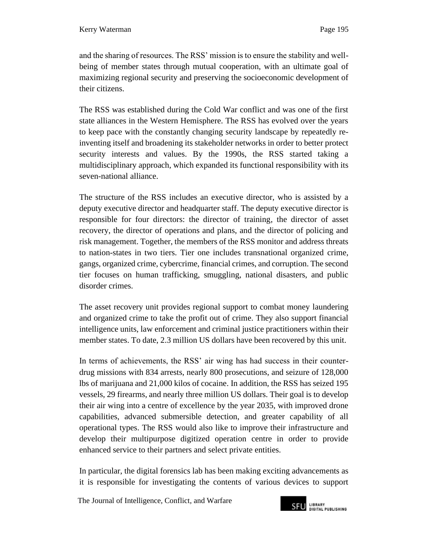and the sharing of resources. The RSS' mission is to ensure the stability and wellbeing of member states through mutual cooperation, with an ultimate goal of maximizing regional security and preserving the socioeconomic development of their citizens.

The RSS was established during the Cold War conflict and was one of the first state alliances in the Western Hemisphere. The RSS has evolved over the years to keep pace with the constantly changing security landscape by repeatedly reinventing itself and broadening its stakeholder networks in order to better protect security interests and values. By the 1990s, the RSS started taking a multidisciplinary approach, which expanded its functional responsibility with its seven-national alliance.

The structure of the RSS includes an executive director, who is assisted by a deputy executive director and headquarter staff. The deputy executive director is responsible for four directors: the director of training, the director of asset recovery, the director of operations and plans, and the director of policing and risk management. Together, the members of the RSS monitor and address threats to nation-states in two tiers. Tier one includes transnational organized crime, gangs, organized crime, cybercrime, financial crimes, and corruption. The second tier focuses on human trafficking, smuggling, national disasters, and public disorder crimes.

The asset recovery unit provides regional support to combat money laundering and organized crime to take the profit out of crime. They also support financial intelligence units, law enforcement and criminal justice practitioners within their member states. To date, 2.3 million US dollars have been recovered by this unit.

In terms of achievements, the RSS' air wing has had success in their counterdrug missions with 834 arrests, nearly 800 prosecutions, and seizure of 128,000 lbs of marijuana and 21,000 kilos of cocaine. In addition, the RSS has seized 195 vessels, 29 firearms, and nearly three million US dollars. Their goal is to develop their air wing into a centre of excellence by the year 2035, with improved drone capabilities, advanced submersible detection, and greater capability of all operational types. The RSS would also like to improve their infrastructure and develop their multipurpose digitized operation centre in order to provide enhanced service to their partners and select private entities.

In particular, the digital forensics lab has been making exciting advancements as it is responsible for investigating the contents of various devices to support

The Journal of Intelligence, Conflict*,* and Warfare

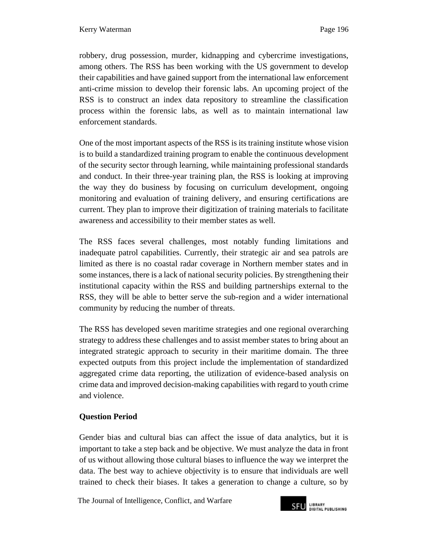robbery, drug possession, murder, kidnapping and cybercrime investigations, among others. The RSS has been working with the US government to develop their capabilities and have gained support from the international law enforcement anti-crime mission to develop their forensic labs. An upcoming project of the RSS is to construct an index data repository to streamline the classification process within the forensic labs, as well as to maintain international law enforcement standards.

One of the most important aspects of the RSS is its training institute whose vision is to build a standardized training program to enable the continuous development of the security sector through learning, while maintaining professional standards and conduct. In their three-year training plan, the RSS is looking at improving the way they do business by focusing on curriculum development, ongoing monitoring and evaluation of training delivery, and ensuring certifications are current. They plan to improve their digitization of training materials to facilitate awareness and accessibility to their member states as well.

The RSS faces several challenges, most notably funding limitations and inadequate patrol capabilities. Currently, their strategic air and sea patrols are limited as there is no coastal radar coverage in Northern member states and in some instances, there is a lack of national security policies. By strengthening their institutional capacity within the RSS and building partnerships external to the RSS, they will be able to better serve the sub-region and a wider international community by reducing the number of threats.

The RSS has developed seven maritime strategies and one regional overarching strategy to address these challenges and to assist member states to bring about an integrated strategic approach to security in their maritime domain. The three expected outputs from this project include the implementation of standardized aggregated crime data reporting, the utilization of evidence-based analysis on crime data and improved decision-making capabilities with regard to youth crime and violence.

## **Question Period**

Gender bias and cultural bias can affect the issue of data analytics, but it is important to take a step back and be objective. We must analyze the data in front of us without allowing those cultural biases to influence the way we interpret the data. The best way to achieve objectivity is to ensure that individuals are well trained to check their biases. It takes a generation to change a culture, so by

The Journal of Intelligence, Conflict*,* and Warfare

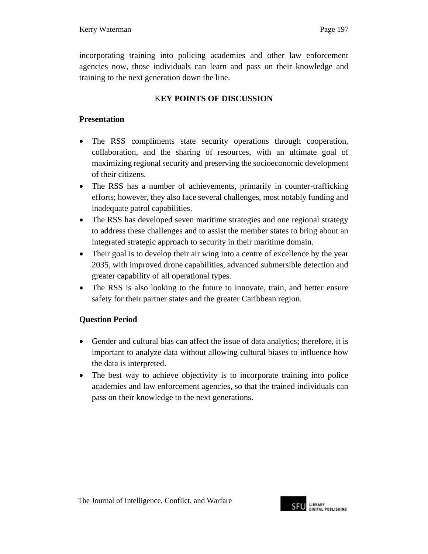incorporating training into policing academies and other law enforcement agencies now, those individuals can learn and pass on their knowledge and training to the next generation down the line.

# K**EY POINTS OF DISCUSSION**

## **Presentation**

- The RSS compliments state security operations through cooperation, collaboration, and the sharing of resources, with an ultimate goal of maximizing regional security and preserving the socioeconomic development of their citizens.
- The RSS has a number of achievements, primarily in counter-trafficking efforts; however, they also face several challenges, most notably funding and inadequate patrol capabilities.
- The RSS has developed seven maritime strategies and one regional strategy to address these challenges and to assist the member states to bring about an integrated strategic approach to security in their maritime domain.
- Their goal is to develop their air wing into a centre of excellence by the year 2035, with improved drone capabilities, advanced submersible detection and greater capability of all operational types.
- The RSS is also looking to the future to innovate, train, and better ensure safety for their partner states and the greater Caribbean region.

## **Question Period**

- Gender and cultural bias can affect the issue of data analytics; therefore, it is important to analyze data without allowing cultural biases to influence how the data is interpreted.
- The best way to achieve objectivity is to incorporate training into police academies and law enforcement agencies, so that the trained individuals can pass on their knowledge to the next generations.